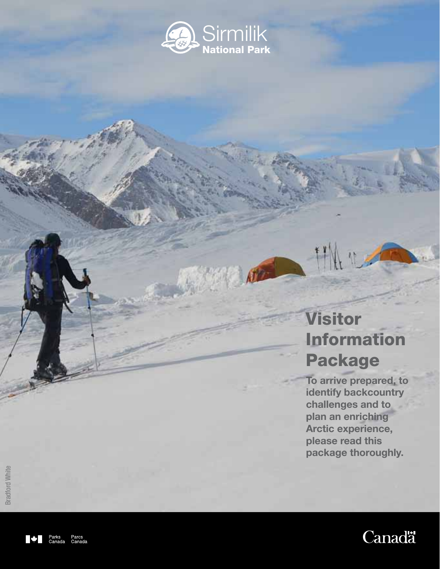

# Visitor Information Package

**To arrive prepared, to identify backcountry challenges and to plan an enriching Arctic experience, please read this package thoroughly.**



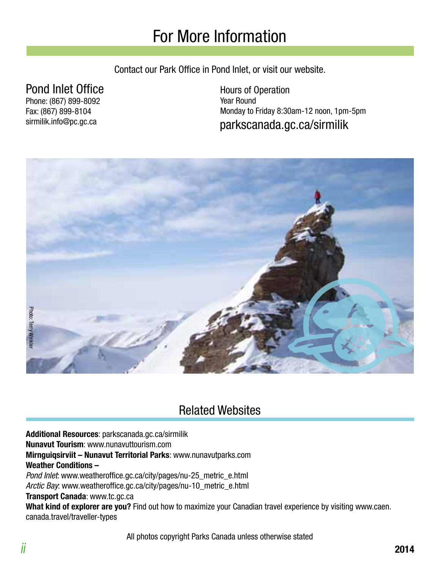## For More Information

Contact our Park Office in Pond Inlet, or visit our website.

### Pond Inlet Office

Phone: (867) 899-8092 Fax: (867) 899-8104 sirmilik.info@pc.gc.ca

parkscanada.gc.ca/sirmilik Hours of Operation Year Round Monday to Friday 8:30am-12 noon, 1pm-5pm



### Related Websites

**Additional Resources**: parkscanada.gc.ca/sirmilik

**Nunavut Tourism**: www.nunavuttourism.com

**Mirnguiqsirviit – Nunavut Territorial Parks**: www.nunavutparks.com

#### **Weather Conditions –**

Pond Inlet: www.weatheroffice.gc.ca/city/pages/nu-25\_metric\_e.html Arctic Bay: www.weatheroffice.gc.ca/city/pages/nu-10\_metric\_e.html

**Transport Canada**: www.tc.gc.ca

**What kind of explorer are you?** Find out how to maximize your Canadian travel experience by visiting www.caen. canada.travel/traveller-types

All photos copyright Parks Canada unless otherwise stated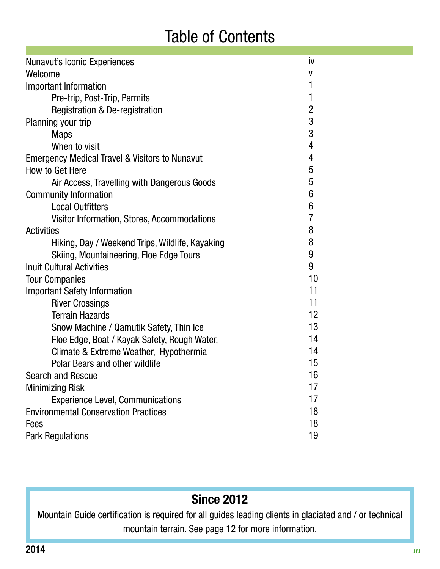## Table of Contents

| <b>Nunavut's Iconic Experiences</b>                       | İV                |  |
|-----------------------------------------------------------|-------------------|--|
| Welcome                                                   |                   |  |
| Important Information                                     | 1                 |  |
| Pre-trip, Post-Trip, Permits                              | 1                 |  |
| Registration & De-registration                            | $\overline{2}$    |  |
| Planning your trip                                        | 3                 |  |
| <b>Maps</b>                                               | 3                 |  |
| When to visit                                             | 4                 |  |
| <b>Emergency Medical Travel &amp; Visitors to Nunavut</b> | 4                 |  |
| How to Get Here                                           | 5                 |  |
| Air Access, Travelling with Dangerous Goods               | 5                 |  |
| <b>Community Information</b>                              | 6                 |  |
| <b>Local Outfitters</b>                                   | 6                 |  |
| Visitor Information, Stores, Accommodations               | $\overline{7}$    |  |
| <b>Activities</b>                                         | 8                 |  |
| Hiking, Day / Weekend Trips, Wildlife, Kayaking           | 8                 |  |
| <b>Skiing, Mountaineering, Floe Edge Tours</b>            | 9                 |  |
| <b>Inuit Cultural Activities</b>                          | 9                 |  |
| <b>Tour Companies</b>                                     | 10                |  |
| <b>Important Safety Information</b>                       | 11                |  |
| <b>River Crossings</b>                                    | 11                |  |
| <b>Terrain Hazards</b>                                    | $12 \overline{ }$ |  |
| Snow Machine / Qamutik Safety, Thin Ice                   | 13                |  |
| Floe Edge, Boat / Kayak Safety, Rough Water,              | 14                |  |
| Climate & Extreme Weather, Hypothermia                    | 14                |  |
| <b>Polar Bears and other wildlife</b>                     | 15                |  |
| Search and Rescue                                         | 16                |  |
| <b>Minimizing Risk</b>                                    | 17                |  |
| <b>Experience Level, Communications</b>                   | 17                |  |
| <b>Environmental Conservation Practices</b>               | 18                |  |
| Fees                                                      | 18                |  |
| <b>Park Regulations</b>                                   | 19                |  |

### **Since 2012**

Mountain Guide certification is required for all guides leading clients in glaciated and / or technical mountain terrain. See page 12 for more information.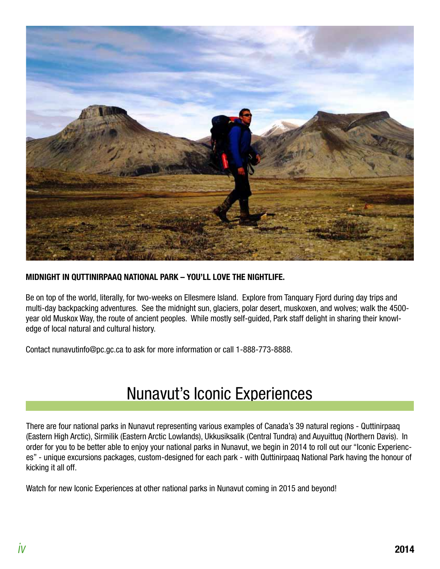

#### **MIDNIGHT IN QUTTINIRPAAQ NATIONAL PARK – YOU'LL LOVE THE NIGHTLIFE.**

Be on top of the world, literally, for two-weeks on Ellesmere Island. Explore from Tanquary Fjord during day trips and multi-day backpacking adventures. See the midnight sun, glaciers, polar desert, muskoxen, and wolves; walk the 4500 year old Muskox Way, the route of ancient peoples. While mostly self-guided, Park staff delight in sharing their knowledge of local natural and cultural history.

Contact nunavutinfo@pc.gc.ca to ask for more information or call 1-888-773-8888.

### Nunavut's Iconic Experiences

There are four national parks in Nunavut representing various examples of Canada's 39 natural regions - Quttinirpaaq (Eastern High Arctic), Sirmilik (Eastern Arctic Lowlands), Ukkusiksalik (Central Tundra) and Auyuittuq (Northern Davis). In order for you to be better able to enjoy your national parks in Nunavut, we begin in 2014 to roll out our "Iconic Experiences" - unique excursions packages, custom-designed for each park - with Quttinirpaaq National Park having the honour of kicking it all off.

Watch for new Iconic Experiences at other national parks in Nunavut coming in 2015 and beyond!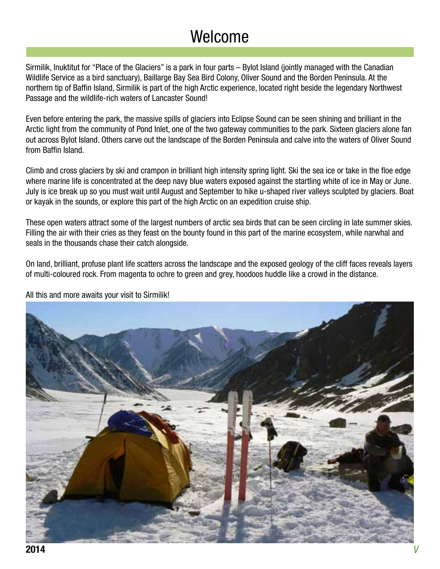### Welcome

Sirmilik, Inuktitut for "Place of the Glaciers" is a park in four parts – Bylot Island (jointly managed with the Canadian Wildlife Service as a bird sanctuary), Baillarge Bay Sea Bird Colony, Oliver Sound and the Borden Peninsula. At the northern tip of Baffin Island, Sirmilik is part of the high Arctic experience, located right beside the legendary Northwest Passage and the wildlife-rich waters of Lancaster Sound!

Even before entering the park, the massive spills of glaciers into Eclipse Sound can be seen shining and brilliant in the Arctic light from the community of Pond Inlet, one of the two gateway communities to the park. Sixteen glaciers alone fan out across Bylot Island. Others carve out the landscape of the Borden Peninsula and calve into the waters of Oliver Sound from Baffin Island.

Climb and cross glaciers by ski and crampon in brilliant high intensity spring light. Ski the sea ice or take in the floe edge where marine life is concentrated at the deep navy blue waters exposed against the startling white of ice in May or June. July is ice break up so you must wait until August and September to hike u-shaped river valleys sculpted by glaciers. Boat or kayak in the sounds, or explore this part of the high Arctic on an expedition cruise ship.

These open waters attract some of the largest numbers of arctic sea birds that can be seen circling in late summer skies. Filling the air with their cries as they feast on the bounty found in this part of the marine ecosystem, while narwhal and seals in the thousands chase their catch alongside.

On land, brilliant, profuse plant life scatters across the landscape and the exposed geology of the cliff faces reveals layers of multi-coloured rock. From magenta to ochre to green and grey, hoodoos huddle like a crowd in the distance.



All this and more awaits your visit to Sirmilik!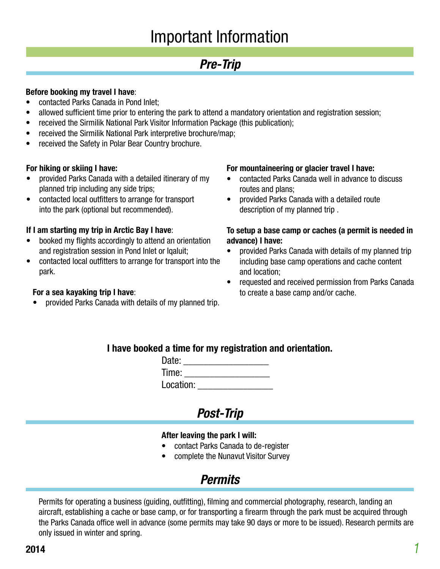### Important Information

### **Pre-Trip**

#### **Before booking my travel I have**:

- contacted Parks Canada in Pond Inlet;
- allowed sufficient time prior to entering the park to attend a mandatory orientation and registration session;
- received the Sirmilik National Park Visitor Information Package (this publication);
- received the Sirmilik National Park interpretive brochure/map;
- received the Safety in Polar Bear Country brochure.

#### **For hiking or skiing I have:**

- provided Parks Canada with a detailed itinerary of my planned trip including any side trips;
- contacted local outfitters to arrange for transport into the park (optional but recommended).

#### **If I am starting my trip in Arctic Bay I have**:

- booked my flights accordingly to attend an orientation and registration session in Pond Inlet or Iqaluit;
- contacted local outfitters to arrange for transport into the park.

#### **For a sea kayaking trip I have**:

• provided Parks Canada with details of my planned trip.

#### **For mountaineering or glacier travel I have:**

- contacted Parks Canada well in advance to discuss routes and plans;
- provided Parks Canada with a detailed route description of my planned trip .

#### **To setup a base camp or caches (a permit is needed in advance) I have:**

- provided Parks Canada with details of my planned trip including base camp operations and cache content and location;
- requested and received permission from Parks Canada to create a base camp and/or cache.

#### **I have booked a time for my registration and orientation.**

| Date:     |  |
|-----------|--|
| Time:     |  |
| Location: |  |

### **Post-Trip**

#### **After leaving the park I will:**

- contact Parks Canada to de-register
- complete the Nunavut Visitor Survey

### **Permits**

Permits for operating a business (guiding, outfitting), filming and commercial photography, research, landing an aircraft, establishing a cache or base camp, or for transporting a firearm through the park must be acquired through the Parks Canada office well in advance (some permits may take 90 days or more to be issued). Research permits are only issued in winter and spring.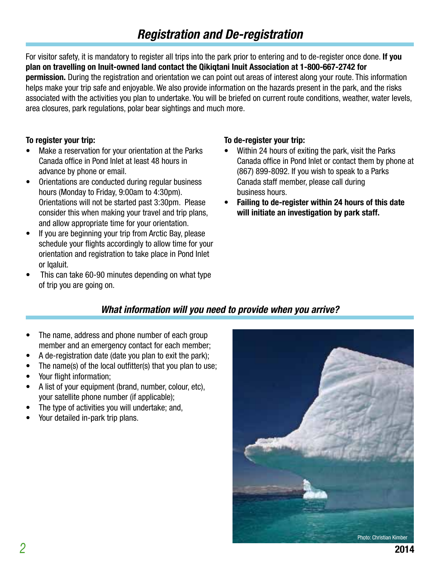### **Registration and De-registration**

For visitor safety, it is mandatory to register all trips into the park prior to entering and to de-register once done. **If you plan on travelling on Inuit-owned land contact the Qikiqtani Inuit Association at 1-800-667-2742 for permission.** During the registration and orientation we can point out areas of interest along your route. This information helps make your trip safe and enjoyable. We also provide information on the hazards present in the park, and the risks associated with the activities you plan to undertake. You will be briefed on current route conditions, weather, water levels, area closures, park regulations, polar bear sightings and much more.

#### **To register your trip:**

- Make a reservation for your orientation at the Parks Canada office in Pond Inlet at least 48 hours in advance by phone or email.
- Orientations are conducted during regular business hours (Monday to Friday, 9:00am to 4:30pm). Orientations will not be started past 3:30pm. Please consider this when making your travel and trip plans, and allow appropriate time for your orientation.
- If you are beginning your trip from Arctic Bay, please schedule your flights accordingly to allow time for your orientation and registration to take place in Pond Inlet or Iqaluit.
- This can take 60-90 minutes depending on what type of trip you are going on.

#### **To de-register your trip:**

- Within 24 hours of exiting the park, visit the Parks Canada office in Pond Inlet or contact them by phone at (867) 899-8092. If you wish to speak to a Parks Canada staff member, please call during business hours.
- **• Failing to de-register within 24 hours of this date will initiate an investigation by park staff.**

#### **What information will you need to provide when you arrive?**

- The name, address and phone number of each group member and an emergency contact for each member;
- A de-registration date (date you plan to exit the park);
- The name(s) of the local outfitter(s) that you plan to use;
- Your flight information;
- A list of your equipment (brand, number, colour, etc), your satellite phone number (if applicable);
- The type of activities you will undertake; and,
- Your detailed in-park trip plans.

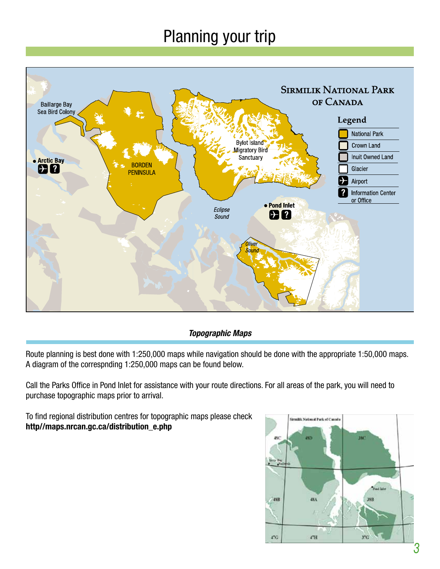# Planning your trip



#### **Topographic Maps**

Route planning is best done with 1:250,000 maps while navigation should be done with the appropriate 1:50,000 maps. A diagram of the correspnding 1:250,000 maps can be found below.

Call the Parks Office in Pond Inlet for assistance with your route directions. For all areas of the park, you will need to purchase topographic maps prior to arrival.

To find regional distribution centres for topographic maps please check **http//maps.nrcan.gc.ca/distribution\_e.php**

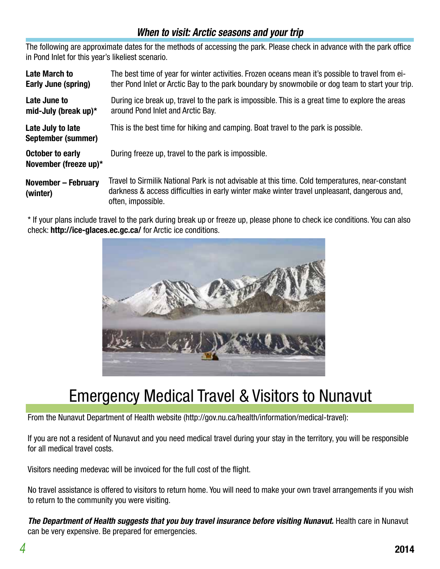### **When to visit: Arctic seasons and your trip**

The following are approximate dates for the methods of accessing the park. Please check in advance with the park office in Pond Inlet for this year's likeliest scenario.

| <b>Late March to</b><br><b>Early June (spring)</b> | The best time of year for winter activities. Frozen oceans mean it's possible to travel from ei-<br>ther Pond Inlet or Arctic Bay to the park boundary by snowmobile or dog team to start your trip.                   |
|----------------------------------------------------|------------------------------------------------------------------------------------------------------------------------------------------------------------------------------------------------------------------------|
| Late June to<br>mid-July (break up) $*$            | During ice break up, travel to the park is impossible. This is a great time to explore the areas<br>around Pond Inlet and Arctic Bay.                                                                                  |
| Late July to late<br>September (summer)            | This is the best time for hiking and camping. Boat travel to the park is possible.                                                                                                                                     |
| <b>October to early</b><br>November (freeze up)*   | During freeze up, travel to the park is impossible.                                                                                                                                                                    |
| <b>November - February</b><br>(winter)             | Travel to Sirmilik National Park is not advisable at this time. Cold temperatures, near-constant<br>darkness & access difficulties in early winter make winter travel unpleasant, dangerous and,<br>often, impossible. |

\* If your plans include travel to the park during break up or freeze up, please phone to check ice conditions. You can also check: **http://ice-glaces.ec.gc.ca/** for Arctic ice conditions.



### **Emergency Medical Travel & Visitors to Nunavut**

From the Nunavut Department of Health website (http://gov.nu.ca/health/information/medical-travel):

If you are not a resident of Nunavut and you need medical travel during your stay in the territory, you will be responsible for all medical travel costs.

Visitors needing medevac will be invoiced for the full cost of the flight.

No travel assistance is offered to visitors to return home. You will need to make your own travel arrangements if you wish to return to the community you were visiting.

**The Department of Health suggests that you buy travel insurance before visiting Nunavut.** Health care in Nunavut can be very expensive. Be prepared for emergencies.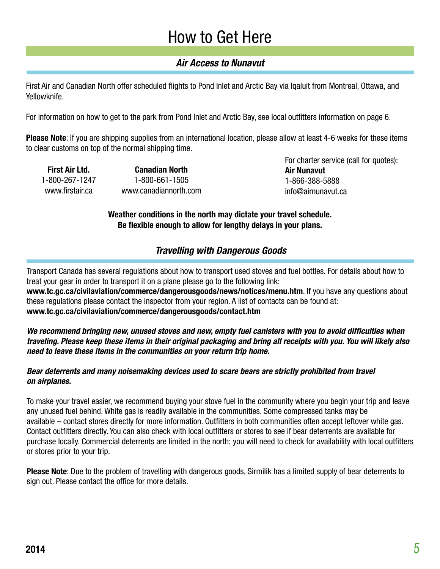### How to Get Here

#### **Air Access to Nunavut**

First Air and Canadian North offer scheduled flights to Pond Inlet and Arctic Bay via Iqaluit from Montreal, Ottawa, and Yellowknife.

For information on how to get to the park from Pond Inlet and Arctic Bay, see local outfitters information on page 6.

**Please Note**: If you are shipping supplies from an international location, please allow at least 4-6 weeks for these items to clear customs on top of the normal shipping time.

**First Air Ltd.** 1-800-267-1247 www.firstair.ca

**Canadian North** 1-800-661-1505 www.canadiannorth.com For charter service (call for quotes): **Air Nunavut** 1-866-388-5888 info@airnunavut.ca

**Weather conditions in the north may dictate your travel schedule. Be flexible enough to allow for lengthy delays in your plans.**

#### **Travelling with Dangerous Goods**

Transport Canada has several regulations about how to transport used stoves and fuel bottles. For details about how to treat your gear in order to transport it on a plane please go to the following link:

**www.tc.gc.ca/civilaviation/commerce/dangerousgoods/news/notices/menu.htm**. If you have any questions about these regulations please contact the inspector from your region. A list of contacts can be found at: **www.tc.gc.ca/civilaviation/commerce/dangerousgoods/contact.htm**

**We recommend bringing new, unused stoves and new, empty fuel canisters with you to avoid difficulties when traveling. Please keep these items in their original packaging and bring all receipts with you. You will likely also need to leave these items in the communities on your return trip home.**

#### **Bear deterrents and many noisemaking devices used to scare bears are strictly prohibited from travel on airplanes.**

To make your travel easier, we recommend buying your stove fuel in the community where you begin your trip and leave any unused fuel behind. White gas is readily available in the communities. Some compressed tanks may be available – contact stores directly for more information. Outfitters in both communities often accept leftover white gas. Contact outfitters directly. You can also check with local outfitters or stores to see if bear deterrents are available for purchase locally. Commercial deterrents are limited in the north; you will need to check for availability with local outfitters or stores prior to your trip.

**Please Note**: Due to the problem of travelling with dangerous goods, Sirmilik has a limited supply of bear deterrents to sign out. Please contact the office for more details.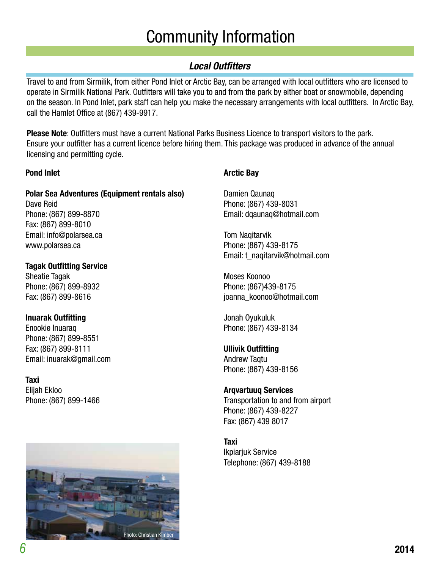# Community Information

#### **Local Outfitters**

Travel to and from Sirmilik, from either Pond Inlet or Arctic Bay, can be arranged with local outfitters who are licensed to operate in Sirmilik National Park. Outfitters will take you to and from the park by either boat or snowmobile, depending on the season. In Pond Inlet, park staff can help you make the necessary arrangements with local outfitters. In Arctic Bay, call the Hamlet Office at (867) 439-9917.

**Please Note**: Outfitters must have a current National Parks Business Licence to transport visitors to the park. Ensure your outfitter has a current licence before hiring them. This package was produced in advance of the annual licensing and permitting cycle.

#### **Pond Inlet**

### **Polar Sea Adventures (Equipment rentals also)**

Dave Reid Phone: (867) 899-8870 Fax: (867) 899-8010 Email: info@polarsea.ca www.polarsea.ca

**Tagak Outfitting Service** Sheatie Tagak Phone: (867) 899-8932 Fax: (867) 899-8616

#### **Inuarak Outfitting**

Enookie Inuaraq Phone: (867) 899-8551 Fax: (867) 899-8111 Email: inuarak@gmail.com

**Taxi** Elijah Ekloo Phone: (867) 899-1466



#### **Arctic Bay**

Damien Qaunaq Phone: (867) 439-8031 Email: dqaunaq@hotmail.com

Tom Naqitarvik Phone: (867) 439-8175 Email: t\_naqitarvik@hotmail.com

Moses Koonoo Phone: (867)439-8175 joanna\_koonoo@hotmail.com

Jonah Oyukuluk Phone: (867) 439-8134

### **Ullivik Outfitting**

Andrew Taqtu Phone: (867) 439-8156

#### **Arqvartuuq Services**

Transportation to and from airport Phone: (867) 439-8227 Fax: (867) 439 8017

#### **Taxi**

Ikpiarjuk Service Telephone: (867) 439-8188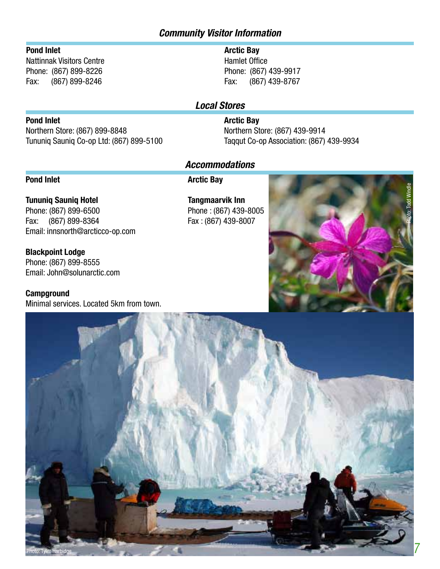#### **Community Visitor Information**

#### **Pond Inlet**

Nattinnak Visitors Centre Phone: (867) 899-8226 Fax: (867) 899-8246

#### **Arctic Bay**

Hamlet Office Phone: (867) 439-9917 Fax: (867) 439-8767

#### **Local Stores**

#### **Arctic Bay**

Northern Store: (867) 439-9914 Taqqut Co-op Association: (867) 439-9934

#### **Accommodations**

#### **Pond Inlet**

**Pond Inlet**

**Arctic Bay**

**Tununiq Sauniq Hotel** Phone: (867) 899-6500 Fax: (867) 899-8364 Email: innsnorth@arcticco-op.com

Northern Store: (867) 899-8848

Tununiq Sauniq Co-op Ltd: (867) 899-5100

**Blackpoint Lodge** Phone: (867) 899-8555 Email: John@solunarctic.com

**Campground** Minimal services. Located 5km from town.

**Tangmaarvik Inn** Phone : (867) 439-8005 Fax : (867) 439-8007



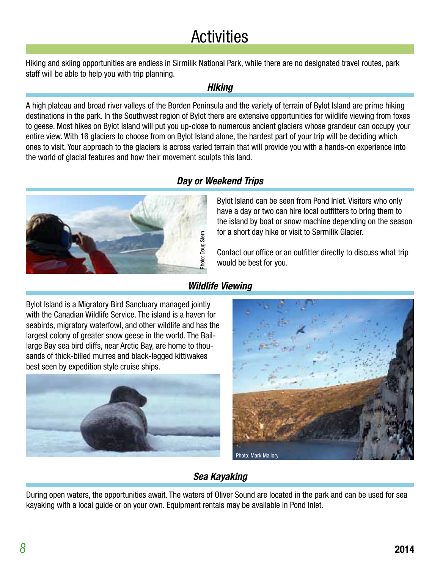# **Activities**

Hiking and skiing opportunities are endless in Sirmilik National Park, while there are no designated travel routes, park staff will be able to help you with trip planning.

#### **Hiking**

A high plateau and broad river valleys of the Borden Peninsula and the variety of terrain of Bylot Island are prime hiking destinations in the park. In the Southwest region of Bylot there are extensive opportunities for wildlife viewing from foxes to geese. Most hikes on Bylot Island will put you up-close to numerous ancient glaciers whose grandeur can occupy your entire view. With 16 glaciers to choose from on Bylot Island alone, the hardest part of your trip will be deciding which ones to visit. Your approach to the glaciers is across varied terrain that will provide you with a hands-on experience into the world of glacial features and how their movement sculpts this land.





Bylot Island can be seen from Pond Inlet. Visitors who only have a day or two can hire local outfitters to bring them to the island by boat or snow machine depending on the season for a short day hike or visit to Sermilik Glacier.

Contact our office or an outfitter directly to discuss what trip would be best for you.

#### **Wildlife Viewing**

Bylot Island is a Migratory Bird Sanctuary managed jointly with the Canadian Wildlife Service. The island is a haven for seabirds, migratory waterfowl, and other wildlife and has the largest colony of greater snow geese in the world. The Baillarge Bay sea bird cliffs, near Arctic Bay, are home to thousands of thick-billed murres and black-legged kittiwakes best seen by expedition style cruise ships.





#### **Sea Kayaking**

During open waters, the opportunities await. The waters of Oliver Sound are located in the park and can be used for sea kayaking with a local guide or on your own. Equipment rentals may be available in Pond Inlet.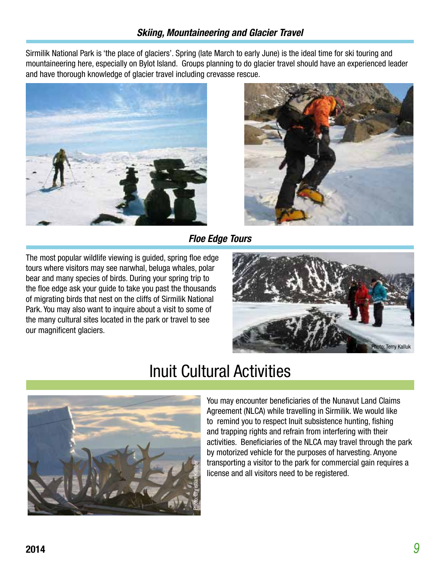Sirmilik National Park is 'the place of glaciers'. Spring (late March to early June) is the ideal time for ski touring and mountaineering here, especially on Bylot Island. Groups planning to do glacier travel should have an experienced leader and have thorough knowledge of glacier travel including crevasse rescue.





**Floe Edge Tours**

The most popular wildlife viewing is guided, spring floe edge tours where visitors may see narwhal, beluga whales, polar bear and many species of birds. During your spring trip to the floe edge ask your guide to take you past the thousands of migrating birds that nest on the cliffs of Sirmilik National Park. You may also want to inquire about a visit to some of the many cultural sites located in the park or travel to see our magnificent glaciers.





### Inuit Cultural Activities

You may encounter beneficiaries of the Nunavut Land Claims Agreement (NLCA) while travelling in Sirmilik. We would like to remind you to respect Inuit subsistence hunting, fishing and trapping rights and refrain from interfering with their activities. Beneficiaries of the NLCA may travel through the park by motorized vehicle for the purposes of harvesting. Anyone transporting a visitor to the park for commercial gain requires a license and all visitors need to be registered.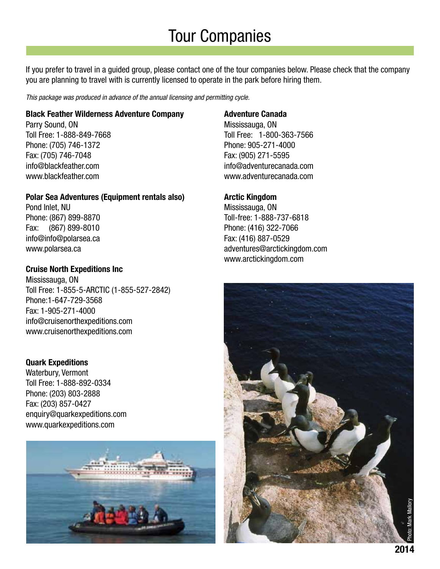# Tour Companies

If you prefer to travel in a guided group, please contact one of the tour companies below. Please check that the company you are planning to travel with is currently licensed to operate in the park before hiring them.

This package was produced in advance of the annual licensing and permitting cycle.

#### **Black Feather Wilderness Adventure Company**

Parry Sound, ON Toll Free: 1-888-849-7668 Phone: (705) 746-1372 Fax: (705) 746-7048 info@blackfeather.com www.blackfeather.com

#### **Polar Sea Adventures (Equipment rentals also)**

Pond Inlet, NU Phone: (867) 899-8870 Fax: (867) 899-8010 info@info@polarsea.ca www.polarsea.ca

#### **Cruise North Expeditions Inc**

Mississauga, ON Toll Free: 1-855-5-ARCTIC (1-855-527-2842) Phone:1-647-729-3568 Fax: 1-905-271-4000 info@cruisenorthexpeditions.com www.cruisenorthexpeditions.com

#### **Quark Expeditions**

Waterbury, Vermont Toll Free: 1-888-892-0334 Phone: (203) 803-2888 Fax: (203) 857-0427 enquiry@quarkexpeditions.com www.quarkexpeditions.com



#### **Adventure Canada**

Mississauga, ON Toll Free: 1-800-363-7566 Phone: 905-271-4000 Fax: (905) 271-5595 info@adventurecanada.com www.adventurecanada.com

#### **Arctic Kingdom**

Mississauga, ON Toll-free: 1-888-737-6818 Phone: (416) 322-7066 Fax: (416) 887-0529 adventures@arctickingdom.com www.arctickingdom.com

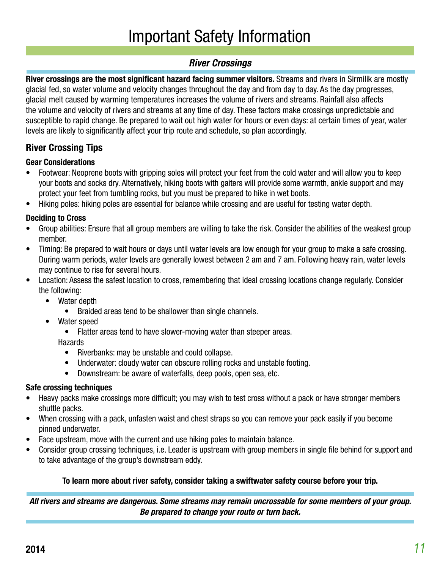# Important Safety Information

#### **River Crossings**

**River crossings are the most significant hazard facing summer visitors.** Streams and rivers in Sirmilik are mostly glacial fed, so water volume and velocity changes throughout the day and from day to day. As the day progresses, glacial melt caused by warming temperatures increases the volume of rivers and streams. Rainfall also affects the volume and velocity of rivers and streams at any time of day. These factors make crossings unpredictable and susceptible to rapid change. Be prepared to wait out high water for hours or even days: at certain times of year, water levels are likely to significantly affect your trip route and schedule, so plan accordingly.

### **River Crossing Tips**

#### **Gear Considerations**

- Footwear: Neoprene boots with gripping soles will protect your feet from the cold water and will allow you to keep your boots and socks dry. Alternatively, hiking boots with gaiters will provide some warmth, ankle support and may protect your feet from tumbling rocks, but you must be prepared to hike in wet boots.
- Hiking poles: hiking poles are essential for balance while crossing and are useful for testing water depth.

#### **Deciding to Cross**

- Group abilities: Ensure that all group members are willing to take the risk. Consider the abilities of the weakest group member.
- Timing: Be prepared to wait hours or days until water levels are low enough for your group to make a safe crossing. During warm periods, water levels are generally lowest between 2 am and 7 am. Following heavy rain, water levels may continue to rise for several hours.
- Location: Assess the safest location to cross, remembering that ideal crossing locations change regularly. Consider the following:
	- Water depth
		- Braided areas tend to be shallower than single channels.
	- Water speed
		- Flatter areas tend to have slower-moving water than steeper areas.

#### Hazards

- Riverbanks: may be unstable and could collapse.
- Underwater: cloudy water can obscure rolling rocks and unstable footing.
- Downstream: be aware of waterfalls, deep pools, open sea, etc.

#### **Safe crossing techniques**

- Heavy packs make crossings more difficult; you may wish to test cross without a pack or have stronger members shuttle packs.
- When crossing with a pack, unfasten waist and chest straps so you can remove your pack easily if you become pinned underwater.
- Face upstream, move with the current and use hiking poles to maintain balance.
- Consider group crossing techniques, i.e. Leader is upstream with group members in single file behind for support and to take advantage of the group's downstream eddy.

#### **To learn more about river safety, consider taking a swiftwater safety course before your trip.**

**All rivers and streams are dangerous. Some streams may remain uncrossable for some members of your group. Be prepared to change your route or turn back.**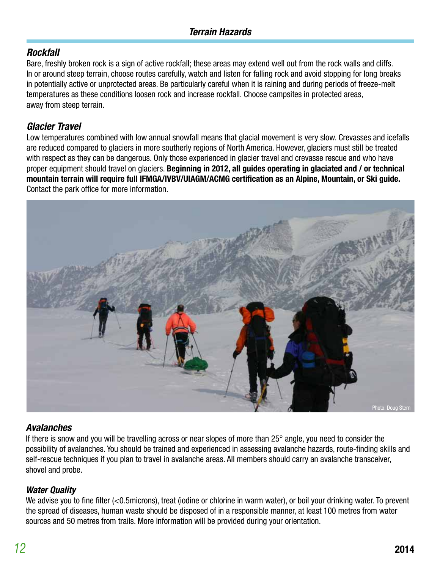#### **Rockfall**

Bare, freshly broken rock is a sign of active rockfall; these areas may extend well out from the rock walls and cliffs. In or around steep terrain, choose routes carefully, watch and listen for falling rock and avoid stopping for long breaks in potentially active or unprotected areas. Be particularly careful when it is raining and during periods of freeze-melt temperatures as these conditions loosen rock and increase rockfall. Choose campsites in protected areas, away from steep terrain.

#### **Glacier Travel**

Low temperatures combined with low annual snowfall means that glacial movement is very slow. Crevasses and icefalls are reduced compared to glaciers in more southerly regions of North America. However, glaciers must still be treated with respect as they can be dangerous. Only those experienced in glacier travel and crevasse rescue and who have proper equipment should travel on glaciers. **Beginning in 2012, all guides operating in glaciated and / or technical mountain terrain will require full IFMGA/IVBV/UIAGM/ACMG certification as an Alpine, Mountain, or Ski guide.**  Contact the park office for more information.



#### **Avalanches**

If there is snow and you will be travelling across or near slopes of more than 25° angle, you need to consider the possibility of avalanches. You should be trained and experienced in assessing avalanche hazards, route-finding skills and self-rescue techniques if you plan to travel in avalanche areas. All members should carry an avalanche transceiver, shovel and probe.

#### **Water Quality**

We advise you to fine filter (<0.5microns), treat (iodine or chlorine in warm water), or boil your drinking water. To prevent the spread of diseases, human waste should be disposed of in a responsible manner, at least 100 metres from water sources and 50 metres from trails. More information will be provided during your orientation.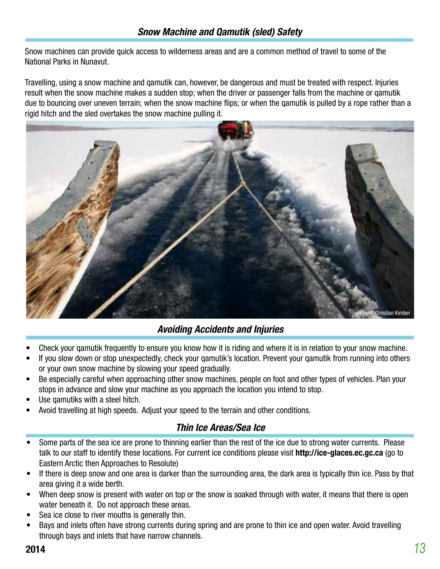Snow machines can provide quick access to wilderness areas and are a common method of travel to some of the National Parks in Nunavut.

Travelling, using a snow machine and qamutik can, however, be dangerous and must be treated with respect. Injuries result when the snow machine makes a sudden stop; when the driver or passenger falls from the machine or qamutik due to bouncing over uneven terrain; when the snow machine flips; or when the qamutik is pulled by a rope rather than a rigid hitch and the sled overtakes the snow machine pulling it.



#### **Avoiding Accidents and Injuries**

- Check your qamutik frequently to ensure you know how it is riding and where it is in relation to your snow machine.
- If you slow down or stop unexpectedly, check your qamutik's location. Prevent your qamutik from running into others or your own snow machine by slowing your speed gradually.
- Be especially careful when approaching other snow machines, people on foot and other types of vehicles. Plan your stops in advance and slow your machine as you approach the location you intend to stop.
- Use gamutiks with a steel hitch.
- Avoid travelling at high speeds. Adjust your speed to the terrain and other conditions.

#### **Thin Ice Areas/Sea Ice**

- Some parts of the sea ice are prone to thinning earlier than the rest of the ice due to strong water currents. Please talk to our staff to identify these locations. For current ice conditions please visit **http://ice-glaces.ec.gc.ca** (go to Eastern Arctic then Approaches to Resolute)
- If there is deep snow and one area is darker than the surrounding area, the dark area is typically thin ice. Pass by that area giving it a wide berth.
- When deep snow is present with water on top or the snow is soaked through with water, it means that there is open water beneath it. Do not approach these areas.
- Sea ice close to river mouths is generally thin.
- Bays and inlets often have strong currents during spring and are prone to thin ice and open water. Avoid travelling through bays and inlets that have narrow channels.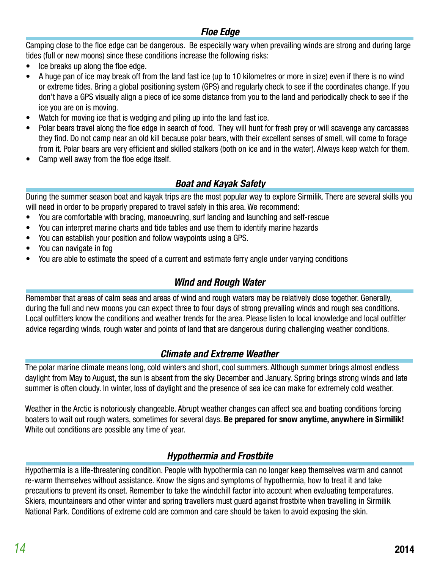#### **Floe Edge**

Camping close to the floe edge can be dangerous. Be especially wary when prevailing winds are strong and during large tides (full or new moons) since these conditions increase the following risks:

- Ice breaks up along the floe edge.
- A huge pan of ice may break off from the land fast ice (up to 10 kilometres or more in size) even if there is no wind or extreme tides. Bring a global positioning system (GPS) and regularly check to see if the coordinates change. If you don't have a GPS visually align a piece of ice some distance from you to the land and periodically check to see if the ice you are on is moving.
- Watch for moving ice that is wedging and piling up into the land fast ice.
- Polar bears travel along the floe edge in search of food. They will hunt for fresh prey or will scavenge any carcasses they find. Do not camp near an old kill because polar bears, with their excellent senses of smell, will come to forage from it. Polar bears are very efficient and skilled stalkers (both on ice and in the water). Always keep watch for them.
- Camp well away from the floe edge itself.

#### **Boat and Kayak Safety**

During the summer season boat and kayak trips are the most popular way to explore Sirmilik. There are several skills you will need in order to be properly prepared to travel safely in this area. We recommend:

- You are comfortable with bracing, manoeuvring, surf landing and launching and self-rescue
- You can interpret marine charts and tide tables and use them to identify marine hazards
- You can establish your position and follow waypoints using a GPS.
- You can navigate in fog
- You are able to estimate the speed of a current and estimate ferry angle under varying conditions

#### **Wind and Rough Water**

Remember that areas of calm seas and areas of wind and rough waters may be relatively close together. Generally, during the full and new moons you can expect three to four days of strong prevailing winds and rough sea conditions. Local outfitters know the conditions and weather trends for the area. Please listen to local knowledge and local outfitter advice regarding winds, rough water and points of land that are dangerous during challenging weather conditions.

#### **Climate and Extreme Weather**

The polar marine climate means long, cold winters and short, cool summers. Although summer brings almost endless daylight from May to August, the sun is absent from the sky December and January. Spring brings strong winds and late summer is often cloudy. In winter, loss of daylight and the presence of sea ice can make for extremely cold weather.

Weather in the Arctic is notoriously changeable. Abrupt weather changes can affect sea and boating conditions forcing boaters to wait out rough waters, sometimes for several days. **Be prepared for snow anytime, anywhere in Sirmilik!** White out conditions are possible any time of year.

#### **Hypothermia and Frostbite**

Hypothermia is a life-threatening condition. People with hypothermia can no longer keep themselves warm and cannot re-warm themselves without assistance. Know the signs and symptoms of hypothermia, how to treat it and take precautions to prevent its onset. Remember to take the windchill factor into account when evaluating temperatures. Skiers, mountaineers and other winter and spring travellers must guard against frostbite when travelling in Sirmilik National Park. Conditions of extreme cold are common and care should be taken to avoid exposing the skin.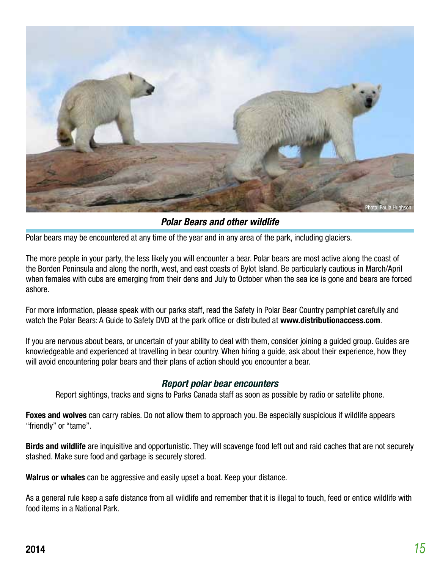

**Polar Bears and other wildlife**

Polar bears may be encountered at any time of the year and in any area of the park, including glaciers.

The more people in your party, the less likely you will encounter a bear. Polar bears are most active along the coast of the Borden Peninsula and along the north, west, and east coasts of Bylot Island. Be particularly cautious in March/April when females with cubs are emerging from their dens and July to October when the sea ice is gone and bears are forced ashore.

For more information, please speak with our parks staff, read the Safety in Polar Bear Country pamphlet carefully and watch the Polar Bears: A Guide to Safety DVD at the park office or distributed at **www.distributionaccess.com**.

If you are nervous about bears, or uncertain of your ability to deal with them, consider joining a guided group. Guides are knowledgeable and experienced at travelling in bear country. When hiring a guide, ask about their experience, how they will avoid encountering polar bears and their plans of action should you encounter a bear.

#### **Report polar bear encounters**

Report sightings, tracks and signs to Parks Canada staff as soon as possible by radio or satellite phone.

**Foxes and wolves** can carry rabies. Do not allow them to approach you. Be especially suspicious if wildlife appears "friendly" or "tame".

**Birds and wildlife** are inquisitive and opportunistic. They will scavenge food left out and raid caches that are not securely stashed. Make sure food and garbage is securely stored.

**Walrus or whales** can be aggressive and easily upset a boat. Keep your distance.

As a general rule keep a safe distance from all wildlife and remember that it is illegal to touch, feed or entice wildlife with food items in a National Park.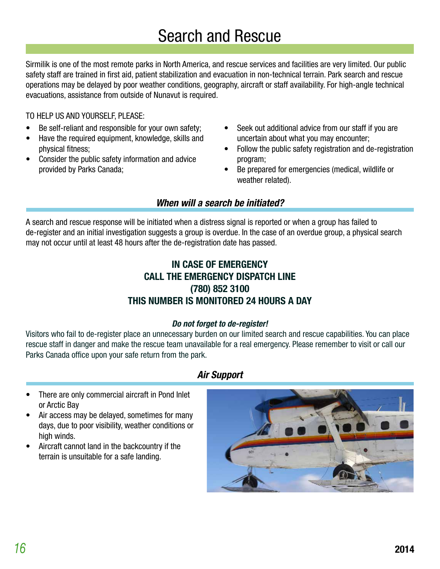Sirmilik is one of the most remote parks in North America, and rescue services and facilities are very limited. Our public safety staff are trained in first aid, patient stabilization and evacuation in non-technical terrain. Park search and rescue operations may be delayed by poor weather conditions, geography, aircraft or staff availability. For high-angle technical evacuations, assistance from outside of Nunavut is required.

TO HELP US AND YOURSELF, PLEASE:

- Be self-reliant and responsible for your own safety;
- Have the required equipment, knowledge, skills and physical fitness;
- Consider the public safety information and advice provided by Parks Canada;
- Seek out additional advice from our staff if you are uncertain about what you may encounter;
- Follow the public safety registration and de-registration program;
- Be prepared for emergencies (medical, wildlife or weather related).

#### **When will a search be initiated?**

A search and rescue response will be initiated when a distress signal is reported or when a group has failed to de-register and an initial investigation suggests a group is overdue. In the case of an overdue group, a physical search may not occur until at least 48 hours after the de-registration date has passed.

#### **IN CASE OF EMERGENCY CALL THE EMERGENCY DISPATCH LINE (780) 852 3100 THIS NUMBER IS MONITORED 24 HOURS A DAY**

#### **Do not forget to de-register!**

Visitors who fail to de-register place an unnecessary burden on our limited search and rescue capabilities. You can place rescue staff in danger and make the rescue team unavailable for a real emergency. Please remember to visit or call our Parks Canada office upon your safe return from the park.

#### **Air Support**

- There are only commercial aircraft in Pond Inlet or Arctic Bay
- Air access may be delayed, sometimes for many days, due to poor visibility, weather conditions or high winds.
- Aircraft cannot land in the backcountry if the terrain is unsuitable for a safe landing.

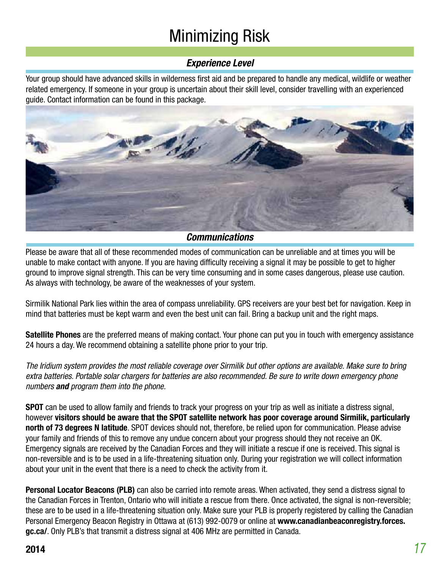# Minimizing Risk

#### **Experience Level**

Your group should have advanced skills in wilderness first aid and be prepared to handle any medical, wildlife or weather related emergency. If someone in your group is uncertain about their skill level, consider travelling with an experienced guide. Contact information can be found in this package.



#### **Communications**

Please be aware that all of these recommended modes of communication can be unreliable and at times you will be unable to make contact with anyone. If you are having difficulty receiving a signal it may be possible to get to higher ground to improve signal strength. This can be very time consuming and in some cases dangerous, please use caution. As always with technology, be aware of the weaknesses of your system.

Sirmilik National Park lies within the area of compass unreliability. GPS receivers are your best bet for navigation. Keep in mind that batteries must be kept warm and even the best unit can fail. Bring a backup unit and the right maps.

**Satellite Phones** are the preferred means of making contact. Your phone can put you in touch with emergency assistance 24 hours a day. We recommend obtaining a satellite phone prior to your trip.

The Iridium system provides the most reliable coverage over Sirmilik but other options are available. Make sure to bring extra batteries. Portable solar chargers for batteries are also recommended. Be sure to write down emergency phone numbers **and** program them into the phone.

**SPOT** can be used to allow family and friends to track your progress on your trip as well as initiate a distress signal, however **visitors should be aware that the SPOT satellite network has poor coverage around Sirmilik, particularly north of 73 degrees N latitude**. SPOT devices should not, therefore, be relied upon for communication. Please advise your family and friends of this to remove any undue concern about your progress should they not receive an OK. Emergency signals are received by the Canadian Forces and they will initiate a rescue if one is received. This signal is non-reversible and is to be used in a life-threatening situation only. During your registration we will collect information about your unit in the event that there is a need to check the activity from it.

**Personal Locator Beacons (PLB)** can also be carried into remote areas. When activated, they send a distress signal to the Canadian Forces in Trenton, Ontario who will initiate a rescue from there. Once activated, the signal is non-reversible; these are to be used in a life-threatening situation only. Make sure your PLB is properly registered by calling the Canadian Personal Emergency Beacon Registry in Ottawa at (613) 992-0079 or online at **www.canadianbeaconregistry.forces. gc.ca/**. Only PLB's that transmit a distress signal at 406 MHz are permitted in Canada.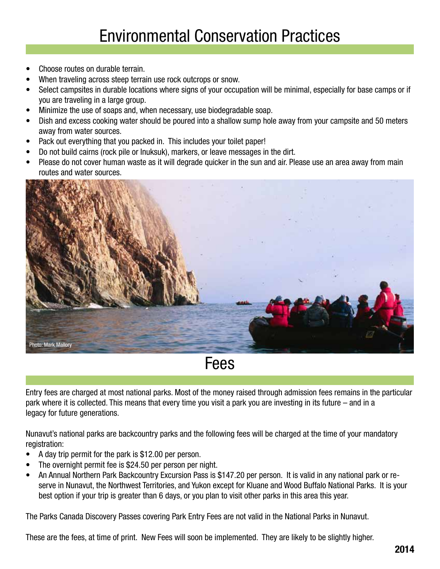- Choose routes on durable terrain.
- When traveling across steep terrain use rock outcrops or snow.
- Select campsites in durable locations where signs of your occupation will be minimal, especially for base camps or if you are traveling in a large group.
- Minimize the use of soaps and, when necessary, use biodegradable soap.
- Dish and excess cooking water should be poured into a shallow sump hole away from your campsite and 50 meters away from water sources.
- Pack out everything that you packed in. This includes your toilet paper!
- Do not build cairns (rock pile or Inuksuk), markers, or leave messages in the dirt.
- Please do not cover human waste as it will degrade quicker in the sun and air. Please use an area away from main routes and water sources.



Fees

Entry fees are charged at most national parks. Most of the money raised through admission fees remains in the particular park where it is collected. This means that every time you visit a park you are investing in its future – and in a legacy for future generations.

Nunavut's national parks are backcountry parks and the following fees will be charged at the time of your mandatory registration:

- A day trip permit for the park is \$12.00 per person.
- The overnight permit fee is \$24.50 per person per night.
- An Annual Northern Park Backcountry Excursion Pass is \$147.20 per person. It is valid in any national park or reserve in Nunavut, the Northwest Territories, and Yukon except for Kluane and Wood Buffalo National Parks. It is your best option if your trip is greater than 6 days, or you plan to visit other parks in this area this year.

The Parks Canada Discovery Passes covering Park Entry Fees are not valid in the National Parks in Nunavut.

These are the fees, at time of print. New Fees will soon be implemented. They are likely to be slightly higher.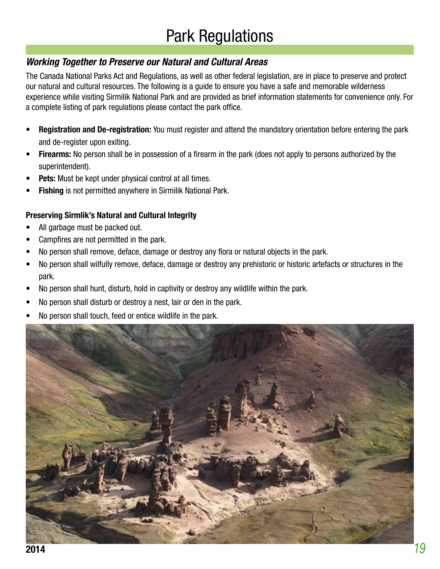# Park Regulations

#### **Working Together to Preserve our Natural and Cultural Areas**

The Canada National Parks Act and Regulations, as well as other federal legislation, are in place to preserve and protect our natural and cultural resources. The following is a guide to ensure you have a safe and memorable wilderness experience while visiting Sirmilik National Park and are provided as brief information statements for convenience only. For a complete listing of park regulations please contact the park office.

- **• Registration and De-registration:** You must register and attend the mandatory orientation before entering the park and de-register upon exiting.
- **• Firearms:** No person shall be in possession of a firearm in the park (does not apply to persons authorized by the superintendent).
- **• Pets:** Must be kept under physical control at all times.
- **• Fishing** is not permitted anywhere in Sirmilik National Park.

#### **Preserving Sirmlik's Natural and Cultural Integrity**

- All garbage must be packed out.
- Campfires are not permitted in the park.
- No person shall remove, deface, damage or destroy any flora or natural objects in the park.
- No person shall wilfully remove, deface, damage or destroy any prehistoric or historic artefacts or structures in the park.
- No person shall hunt, disturb, hold in captivity or destroy any wildlife within the park.
- No person shall disturb or destroy a nest, lair or den in the park.
- No person shall touch, feed or entice wildlife in the park.

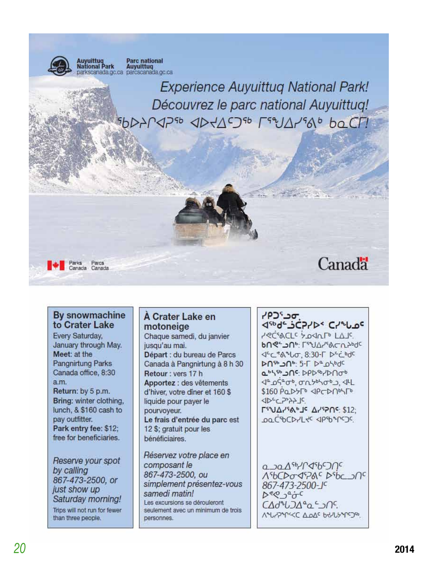

#### By snowmachine to Crater Lake

Every Saturday, January through May. Meet: at the Pangnirtung Parks Canada office, 8:30 a.m. Return: by 5 p.m. Bring: winter clothing, lunch, & \$160 cash to pay outfitter. Park entry fee: \$12: free for beneficiaries.

Reserve your spot by calling 867-473-2500, or just show up Saturday morning! Trips will not run for fewer than three people.

#### A Crater Lake en motoneige

Chaque samedi, du janvier jusqu'au mai. Départ : du bureau de Parcs Canada à Pangnirtung à 8 h 30 Retour: vers 17 h Apportez : des vêtements d'hiver, votre dîner et 160 \$ liquide pour payer le pourvoyeur. Le frais d'entrée du parc est 12 \$; gratuit pour les bénéficiaires.

Réservez votre place en composant le 867-473-2500, ou simplement présentez-vous samedi matin! Les excursions se dérouleront seulement avec un minimum de trois personnes.

#### "סכ"כף **JED-SCPIDS CIPLOC**

PRESACLE SOULD LAJE bne-Jne: [59]ArsACn2bdc JEC 816 LOT. 8:30-1 DEC bdc **DOMO - 5-1 De DOMOC** abssbace DPD-B/Dnob **JA DGAOD, ONTOLOGION ALL** \$160 PODYTO <PCD/105/TO JDCC777JC  $\Gamma$ SU $\Delta$ <sub>1</sub> SA<sub>b</sub> Jc  $\Delta$ <sub>1</sub> S<sub>1</sub> S<sub>12</sub>; DOCSOCDYLYC <PSD PCOC

asaAsh/CaspOnc 156CD0097ACDSbcJnc 867-473-2500-JC  $D^{\varrho}Q^{-a}O^{c}$ CAdªUJAªa <del>S</del>ns. VOLYSOLIC TOVE PHYPALCIE